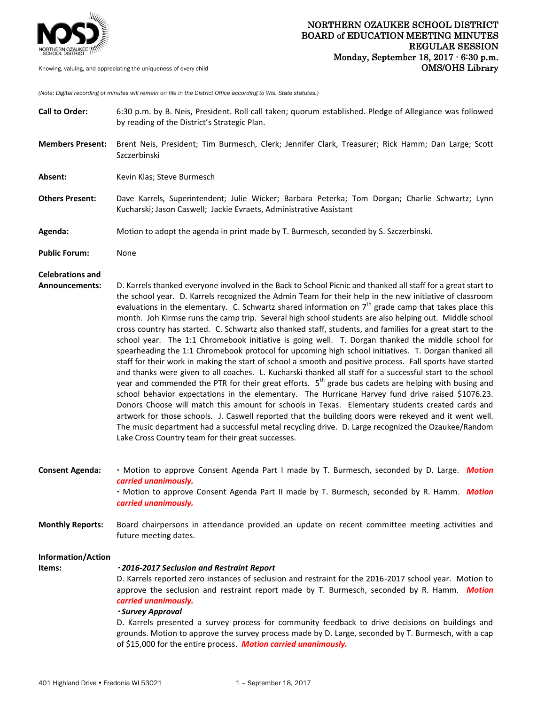

*(Note: Digital recording of minutes will remain on file in the District Office according to Wis. State statutes.)*

| <b>Call to Order:</b>                            | 6:30 p.m. by B. Neis, President. Roll call taken; quorum established. Pledge of Allegiance was followed<br>by reading of the District's Strategic Plan.                                                                                                                                                                                                                                                                                                                                                                                                                                                                                                                                                                                                                                                                                                                                                                                                                                                                                                                                                                                                                                                                                                                                                                                                                                                                                                                                                                                                                                               |
|--------------------------------------------------|-------------------------------------------------------------------------------------------------------------------------------------------------------------------------------------------------------------------------------------------------------------------------------------------------------------------------------------------------------------------------------------------------------------------------------------------------------------------------------------------------------------------------------------------------------------------------------------------------------------------------------------------------------------------------------------------------------------------------------------------------------------------------------------------------------------------------------------------------------------------------------------------------------------------------------------------------------------------------------------------------------------------------------------------------------------------------------------------------------------------------------------------------------------------------------------------------------------------------------------------------------------------------------------------------------------------------------------------------------------------------------------------------------------------------------------------------------------------------------------------------------------------------------------------------------------------------------------------------------|
| <b>Members Present:</b>                          | Brent Neis, President; Tim Burmesch, Clerk; Jennifer Clark, Treasurer; Rick Hamm; Dan Large; Scott<br>Szczerbinski                                                                                                                                                                                                                                                                                                                                                                                                                                                                                                                                                                                                                                                                                                                                                                                                                                                                                                                                                                                                                                                                                                                                                                                                                                                                                                                                                                                                                                                                                    |
| Absent:                                          | Kevin Klas; Steve Burmesch                                                                                                                                                                                                                                                                                                                                                                                                                                                                                                                                                                                                                                                                                                                                                                                                                                                                                                                                                                                                                                                                                                                                                                                                                                                                                                                                                                                                                                                                                                                                                                            |
| <b>Others Present:</b>                           | Dave Karrels, Superintendent; Julie Wicker; Barbara Peterka; Tom Dorgan; Charlie Schwartz; Lynn<br>Kucharski; Jason Caswell; Jackie Evraets, Administrative Assistant                                                                                                                                                                                                                                                                                                                                                                                                                                                                                                                                                                                                                                                                                                                                                                                                                                                                                                                                                                                                                                                                                                                                                                                                                                                                                                                                                                                                                                 |
| Agenda:                                          | Motion to adopt the agenda in print made by T. Burmesch, seconded by S. Szczerbinski.                                                                                                                                                                                                                                                                                                                                                                                                                                                                                                                                                                                                                                                                                                                                                                                                                                                                                                                                                                                                                                                                                                                                                                                                                                                                                                                                                                                                                                                                                                                 |
| <b>Public Forum:</b>                             | None                                                                                                                                                                                                                                                                                                                                                                                                                                                                                                                                                                                                                                                                                                                                                                                                                                                                                                                                                                                                                                                                                                                                                                                                                                                                                                                                                                                                                                                                                                                                                                                                  |
| <b>Celebrations and</b><br><b>Announcements:</b> | D. Karrels thanked everyone involved in the Back to School Picnic and thanked all staff for a great start to<br>the school year. D. Karrels recognized the Admin Team for their help in the new initiative of classroom<br>evaluations in the elementary. C. Schwartz shared information on $7th$ grade camp that takes place this<br>month. Joh Kirmse runs the camp trip. Several high school students are also helping out. Middle school<br>cross country has started. C. Schwartz also thanked staff, students, and families for a great start to the<br>school year. The 1:1 Chromebook initiative is going well. T. Dorgan thanked the middle school for<br>spearheading the 1:1 Chromebook protocol for upcoming high school initiatives. T. Dorgan thanked all<br>staff for their work in making the start of school a smooth and positive process. Fall sports have started<br>and thanks were given to all coaches. L. Kucharski thanked all staff for a successful start to the school<br>year and commended the PTR for their great efforts. 5 <sup>th</sup> grade bus cadets are helping with busing and<br>school behavior expectations in the elementary. The Hurricane Harvey fund drive raised \$1076.23.<br>Donors Choose will match this amount for schools in Texas. Elementary students created cards and<br>artwork for those schools. J. Caswell reported that the building doors were rekeyed and it went well.<br>The music department had a successful metal recycling drive. D. Large recognized the Ozaukee/Random<br>Lake Cross Country team for their great successes. |
| <b>Consent Agenda:</b>                           | . Motion to approve Consent Agenda Part I made by T. Burmesch, seconded by D. Large. Motion<br>carried unanimously.<br>. Motion to approve Consent Agenda Part II made by T. Burmesch, seconded by R. Hamm. Motion<br>carried unanimously.                                                                                                                                                                                                                                                                                                                                                                                                                                                                                                                                                                                                                                                                                                                                                                                                                                                                                                                                                                                                                                                                                                                                                                                                                                                                                                                                                            |
| <b>Monthly Reports:</b>                          | Board chairpersons in attendance provided an update on recent committee meeting activities and<br>future meeting dates.                                                                                                                                                                                                                                                                                                                                                                                                                                                                                                                                                                                                                                                                                                                                                                                                                                                                                                                                                                                                                                                                                                                                                                                                                                                                                                                                                                                                                                                                               |
| Information/Action<br>Items:                     | ·2016-2017 Seclusion and Restraint Report<br>D. Karrels reported zero instances of seclusion and restraint for the 2016-2017 school year. Motion to<br>approve the seclusion and restraint report made by T. Burmesch, seconded by R. Hamm. Motion<br>carried unanimously.<br>· Survey Approval<br>D. Karrels presented a survey process for community feedback to drive decisions on buildings and<br>grounds. Motion to approve the survey process made by D. Large, seconded by T. Burmesch, with a cap<br>of \$15,000 for the entire process. Motion carried unanimously.                                                                                                                                                                                                                                                                                                                                                                                                                                                                                                                                                                                                                                                                                                                                                                                                                                                                                                                                                                                                                         |